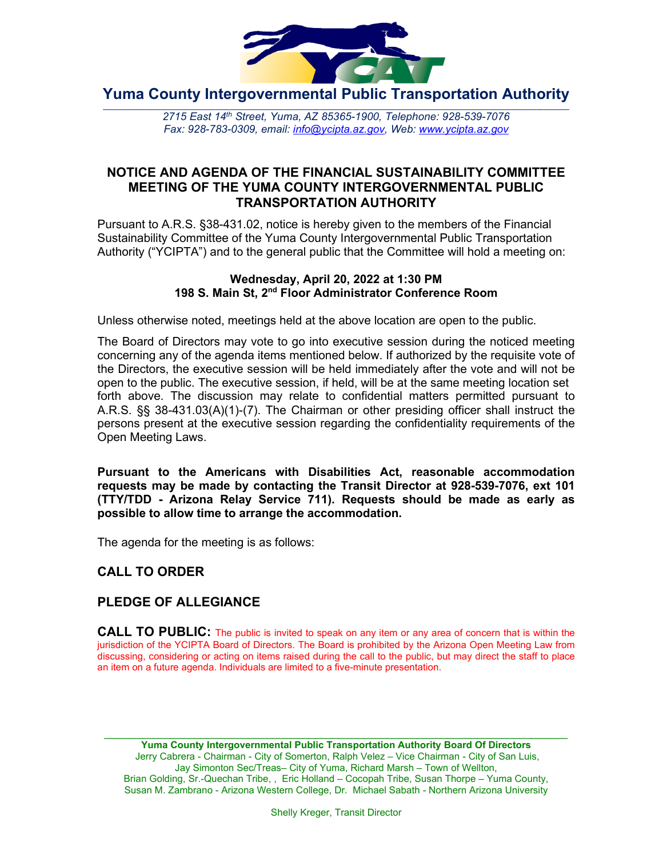

**Yuma County Intergovernmental Public Transportation Authority**

2715 East 14th Street, Yuma, AZ 85365-1900, Telephone: 928-539-7076 *Fax: 928-783-0309, email: [info@ycipta.az.gov,](mailto:info@ycipta.az.gov) Web: [www.ycipta.az.gov](http://www.ycipta.az.gov/)*

## **NOTICE AND AGENDA OF THE FINANCIAL SUSTAINABILITY COMMITTEE MEETING OF THE YUMA COUNTY INTERGOVERNMENTAL PUBLIC TRANSPORTATION AUTHORITY**

Pursuant to A.R.S. §38-431.02, notice is hereby given to the members of the Financial Sustainability Committee of the Yuma County Intergovernmental Public Transportation Authority ("YCIPTA") and to the general public that the Committee will hold a meeting on:

#### **Wednesday, April 20, 2022 at 1:30 PM 198 S. Main St, 2nd Floor Administrator Conference Room**

Unless otherwise noted, meetings held at the above location are open to the public.

The Board of Directors may vote to go into executive session during the noticed meeting concerning any of the agenda items mentioned below. If authorized by the requisite vote of the Directors, the executive session will be held immediately after the vote and will not be open to the public. The executive session, if held, will be at the same meeting location set forth above. The discussion may relate to confidential matters permitted pursuant to A.R.S. §§ 38-431.03(A)(1)-(7). The Chairman or other presiding officer shall instruct the persons present at the executive session regarding the confidentiality requirements of the Open Meeting Laws.

**Pursuant to the Americans with Disabilities Act, reasonable accommodation requests may be made by contacting the Transit Director at 928-539-7076, ext 101 (TTY/TDD - Arizona Relay Service 711). Requests should be made as early as possible to allow time to arrange the accommodation.**

The agenda for the meeting is as follows:

## **CALL TO ORDER**

## **PLEDGE OF ALLEGIANCE**

**CALL TO PUBLIC:** The public is invited to speak on any item or any area of concern that is within the jurisdiction of the YCIPTA Board of Directors. The Board is prohibited by the Arizona Open Meeting Law from discussing, considering or acting on items raised during the call to the public, but may direct the staff to place an item on a future agenda. Individuals are limited to a five-minute presentation.

\_\_\_\_\_\_\_\_\_\_\_\_\_\_\_\_\_\_\_\_\_\_\_\_\_\_\_\_\_\_\_\_\_\_\_\_\_\_\_\_\_\_\_\_\_\_\_\_\_\_\_\_\_\_\_\_\_\_\_\_\_\_\_\_\_\_\_\_\_\_\_\_\_\_\_\_\_ **Yuma County Intergovernmental Public Transportation Authority Board Of Directors** Jerry Cabrera - Chairman - City of Somerton, Ralph Velez – Vice Chairman - City of San Luis, Jay Simonton Sec/Treas– City of Yuma, Richard Marsh – Town of Wellton, Brian Golding, Sr.-Quechan Tribe, , Eric Holland – Cocopah Tribe, Susan Thorpe – Yuma County, Susan M. Zambrano - Arizona Western College, Dr. Michael Sabath - Northern Arizona University